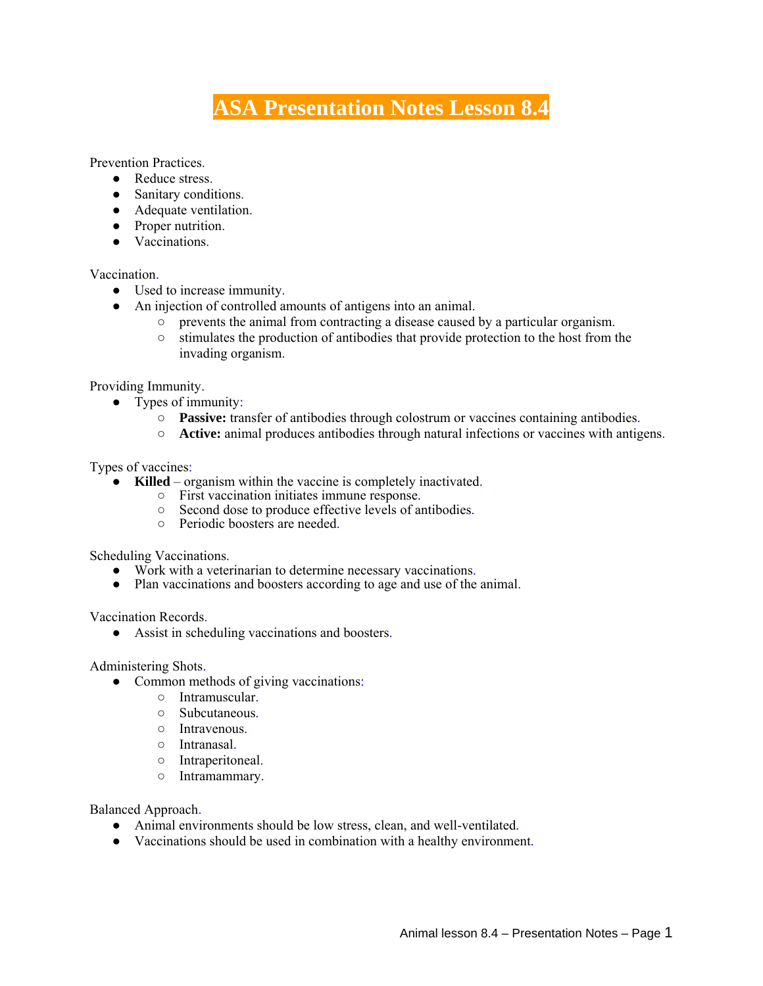# **ASA Presentation Notes Lesson 8.4**

Prevention Practices.

- Reduce stress.
- Sanitary conditions.
- Adequate ventilation.
- Proper nutrition.
- Vaccinations.

### Vaccination.

- Used to increase immunity.
- An injection of controlled amounts of antigens into an animal.
	- prevents the animal from contracting a disease caused by a particular organism.
		- $\circ$  stimulates the production of antibodies that provide protection to the host from the invading organism.

#### Providing Immunity.

- Types of immunity:
	- **Passive:** transfer of antibodies through colostrum or vaccines containing antibodies.
	- **Active:** animal produces antibodies through natural infections or vaccines with antigens.

#### Types of vaccines:

- **Killed** organism within the vaccine is completely inactivated.
	- First vaccination initiates immune response.
	- Second dose to produce effective levels of antibodies.
	- Periodic boosters are needed.

Scheduling Vaccinations.

- Work with a veterinarian to determine necessary vaccinations.
- Plan vaccinations and boosters according to age and use of the animal.

Vaccination Records.

● Assist in scheduling vaccinations and boosters.

Administering Shots.

- Common methods of giving vaccinations:
	- Intramuscular.
	- Subcutaneous.
	- Intravenous.
	- Intranasal.
	- Intraperitoneal.
	- Intramammary.

Balanced Approach.

- Animal environments should be low stress, clean, and well-ventilated.
- Vaccinations should be used in combination with a healthy environment.